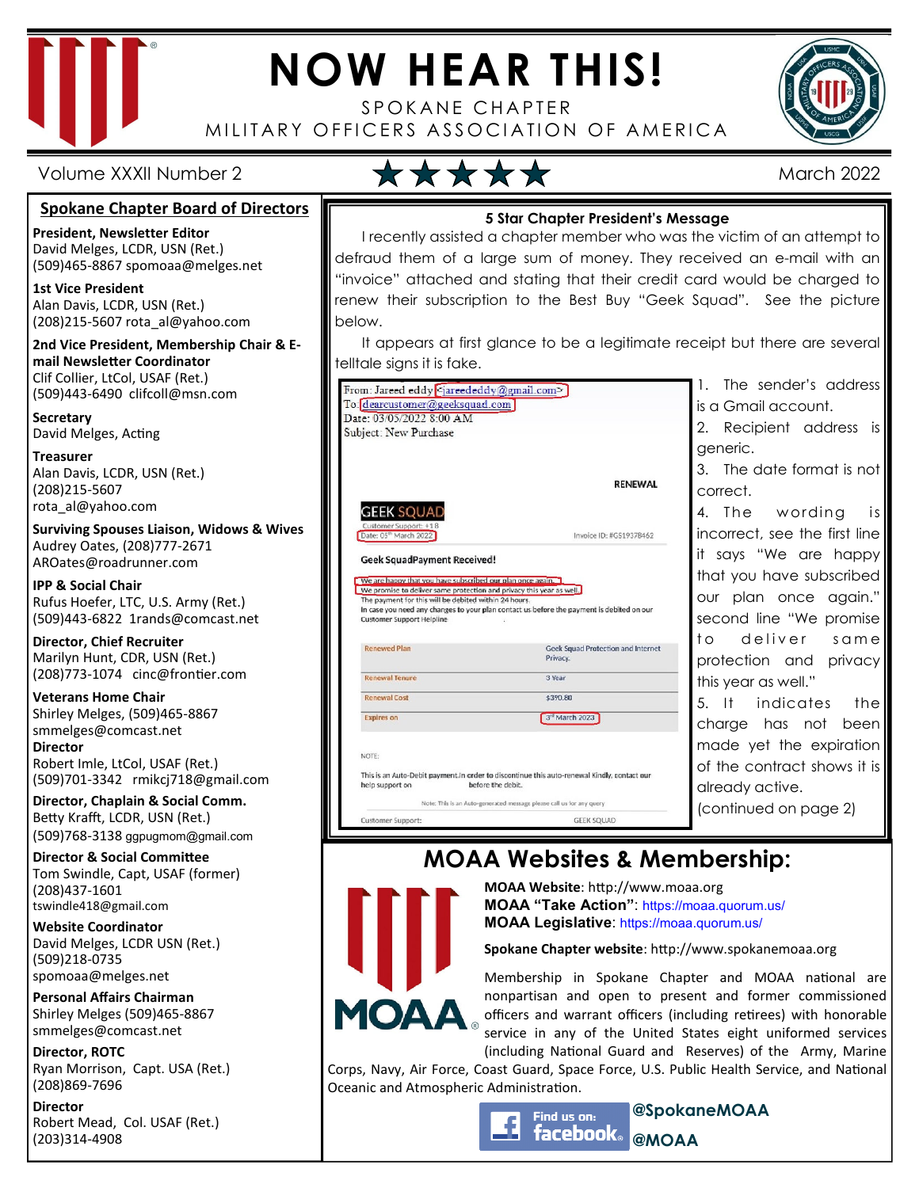

# **NOW HEAR THIS!**

SPOKANE CHAPTER MILITARY OFFICERS ASSOCIATION OF AMERICA



Volume XXXII Number 2 March 2022

below.

#### **Spokane Chapter Board of Directors**

**President, Newsletter Editor**  David Melges, LCDR, USN (Ret.) (509)465-8867 spomoaa@melges.net

**1st Vice President** 

Alan Davis, LCDR, USN (Ret.) (208)215-5607 rota\_al@yahoo.com

**2nd Vice President, Membership Chair & Email Newsletter Coordinator** Clif Collier, LtCol, USAF (Ret.) (509)443-6490 clifcoll@msn.com

**Secretary**  David Melges, Acting

**Treasurer**  Alan Davis, LCDR, USN (Ret.) (208)215-5607 rota\_al@yahoo.com

**Surviving Spouses Liaison, Widows & Wives**  Audrey Oates, (208)777-2671 AROates@roadrunner.com

**IPP & Social Chair**  Rufus Hoefer, LTC, U.S. Army (Ret.) (509)443-6822 1rands@comcast.net

**Director, Chief Recruiter**  Marilyn Hunt, CDR, USN (Ret.) (208)773-1074 cinc@frontier.com

**Veterans Home Chair**  Shirley Melges, (509)465-8867 smmelges@comcast.net **Director**  Robert Imle, LtCol, USAF (Ret.)

(509)701-3342 rmikcj718@gmail.com **Director, Chaplain & Social Comm.** Betty Krafft, LCDR, USN (Ret.) (509)768-3138 ggpugmom@gmail.com

**Director & Social Committee** Tom Swindle, Capt, USAF (former) (208)437-1601 tswindle418@gmail.com

**Website Coordinator**  David Melges, LCDR USN (Ret.) (509)218-0735 spomoaa@melges.net

**Personal Affairs Chairman**  Shirley Melges (509)465-8867 smmelges@comcast.net

**Director, ROTC**  Ryan Morrison, Capt. USA (Ret.) (208)869-7696

**Director**  Robert Mead, Col. USAF (Ret.) (203)314-4908

| 5 Star Chapter President's Message                                        |  |  |  |  |
|---------------------------------------------------------------------------|--|--|--|--|
| I recently assisted a chapter member who was the victim of an attempt to  |  |  |  |  |
| defraud them of a large sum of money. They received an e-mail with an     |  |  |  |  |
| "invoice" attached and stating that their credit card would be charged to |  |  |  |  |

It appears at first glance to be a legitimate receipt but there are several telltale signs it is fake.

renew their subscription to the Best Buy "Geek Squad". See the picture



1. The sender's address is a Gmail account.

2. Recipient address is generic.

3. The date format is not correct.

4. The wording is incorrect, see the first line it says "We are happy that you have subscribed our plan once again." second line "We promise to deliver same protection and privacy this year as well."

5. It indicates the charge has not been made yet the expiration of the contract shows it is already active. (continued on page 2)

# **MOAA Websites & Membership:**



**MOAA Website: http://www.moaa.org MOAA "Take Action"**: https://moaa.quorum.us/ **MOAA Legislative**: https://moaa.quorum.us/

**Spokane Chapter website**: http://www.spokanemoaa.org

**@MOAA** 

Membership in Spokane Chapter and MOAA national are nonpartisan and open to present and former commissioned officers and warrant officers (including retirees) with honorable service in any of the United States eight uniformed services (including National Guard and Reserves) of the Army, Marine

**@SpokaneMOAA** 

Corps, Navy, Air Force, Coast Guard, Space Force, U.S. Public Health Service, and National Oceanic and Atmospheric Administration.

> Find us on: facebook。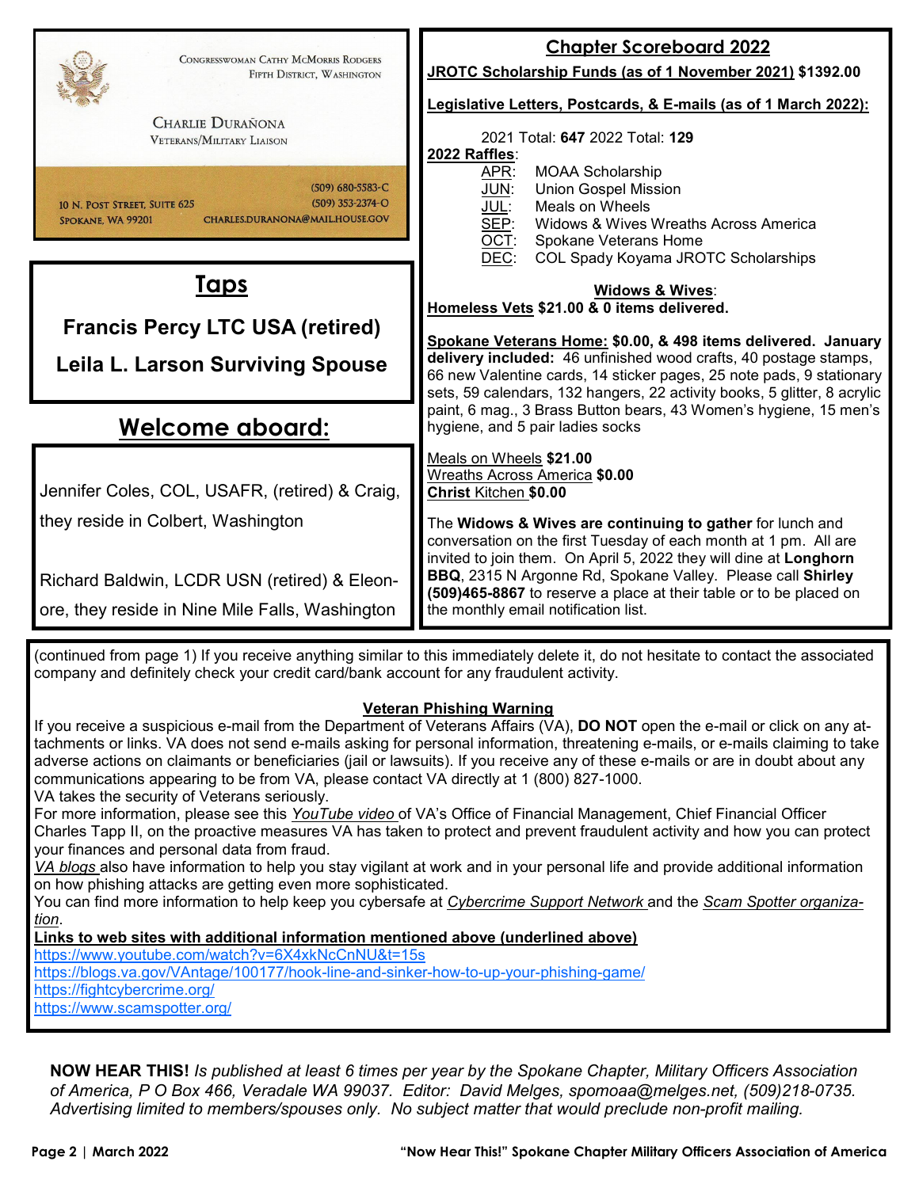| CONGRESSWOMAN CATHY MCMORRIS RODGERS                                                                                                                                                                                                                          | <b>Chapter Scoreboard 2022</b>                                                                                                           |  |  |  |  |  |
|---------------------------------------------------------------------------------------------------------------------------------------------------------------------------------------------------------------------------------------------------------------|------------------------------------------------------------------------------------------------------------------------------------------|--|--|--|--|--|
| FIFTH DISTRICT, WASHINGTON                                                                                                                                                                                                                                    | JROTC Scholarship Funds (as of 1 November 2021) \$1392.00                                                                                |  |  |  |  |  |
|                                                                                                                                                                                                                                                               | Legislative Letters, Postcards, & E-mails (as of 1 March 2022):                                                                          |  |  |  |  |  |
| <b>CHARLIE DURAÑONA</b><br><b>VETERANS/MILITARY LIAISON</b>                                                                                                                                                                                                   | 2021 Total: 647 2022 Total: 129                                                                                                          |  |  |  |  |  |
|                                                                                                                                                                                                                                                               | 2022 Raffles:<br><b>MOAA Scholarship</b><br>APR:                                                                                         |  |  |  |  |  |
| $(509)$ 680-5583-C<br>$(509)$ 353-2374-O                                                                                                                                                                                                                      | JUN:<br><b>Union Gospel Mission</b>                                                                                                      |  |  |  |  |  |
| 10 N. POST STREET, SUITE 625<br>CHARLES.DURANONA@MAIL.HOUSE.GOV<br>SPOKANE, WA 99201                                                                                                                                                                          | JUL:<br>Meals on Wheels<br>SEP:<br>Widows & Wives Wreaths Across America                                                                 |  |  |  |  |  |
|                                                                                                                                                                                                                                                               | OCT:<br>Spokane Veterans Home                                                                                                            |  |  |  |  |  |
|                                                                                                                                                                                                                                                               | DEC:<br>COL Spady Koyama JROTC Scholarships                                                                                              |  |  |  |  |  |
| <u>Taps</u>                                                                                                                                                                                                                                                   | <b>Widows &amp; Wives:</b>                                                                                                               |  |  |  |  |  |
| <b>Francis Percy LTC USA (retired)</b>                                                                                                                                                                                                                        | Homeless Vets \$21.00 & 0 items delivered.<br>Spokane Veterans Home: \$0.00, & 498 items delivered. January                              |  |  |  |  |  |
|                                                                                                                                                                                                                                                               |                                                                                                                                          |  |  |  |  |  |
| <b>Leila L. Larson Surviving Spouse</b>                                                                                                                                                                                                                       | delivery included: 46 unfinished wood crafts, 40 postage stamps,<br>66 new Valentine cards, 14 sticker pages, 25 note pads, 9 stationary |  |  |  |  |  |
|                                                                                                                                                                                                                                                               | sets, 59 calendars, 132 hangers, 22 activity books, 5 glitter, 8 acrylic                                                                 |  |  |  |  |  |
| <u>Welcome aboard:</u>                                                                                                                                                                                                                                        | paint, 6 mag., 3 Brass Button bears, 43 Women's hygiene, 15 men's<br>hygiene, and 5 pair ladies socks                                    |  |  |  |  |  |
|                                                                                                                                                                                                                                                               | Meals on Wheels \$21.00                                                                                                                  |  |  |  |  |  |
|                                                                                                                                                                                                                                                               | Wreaths Across America \$0.00                                                                                                            |  |  |  |  |  |
| Jennifer Coles, COL, USAFR, (retired) & Craig,                                                                                                                                                                                                                | Christ Kitchen \$0.00                                                                                                                    |  |  |  |  |  |
| they reside in Colbert, Washington                                                                                                                                                                                                                            | The Widows & Wives are continuing to gather for lunch and                                                                                |  |  |  |  |  |
|                                                                                                                                                                                                                                                               | conversation on the first Tuesday of each month at 1 pm. All are<br>invited to join them. On April 5, 2022 they will dine at Longhorn    |  |  |  |  |  |
| Richard Baldwin, LCDR USN (retired) & Eleon-                                                                                                                                                                                                                  | BBQ, 2315 N Argonne Rd, Spokane Valley. Please call Shirley                                                                              |  |  |  |  |  |
| ore, they reside in Nine Mile Falls, Washington                                                                                                                                                                                                               | (509)465-8867 to reserve a place at their table or to be placed on<br>the monthly email notification list.                               |  |  |  |  |  |
|                                                                                                                                                                                                                                                               |                                                                                                                                          |  |  |  |  |  |
|                                                                                                                                                                                                                                                               | (continued from page 1) If you receive anything similar to this immediately delete it, do not hesitate to contact the associated         |  |  |  |  |  |
| company and definitely check your credit card/bank account for any fraudulent activity.                                                                                                                                                                       |                                                                                                                                          |  |  |  |  |  |
| <b>Veteran Phishing Warning</b>                                                                                                                                                                                                                               |                                                                                                                                          |  |  |  |  |  |
| If you receive a suspicious e-mail from the Department of Veterans Affairs (VA), DO NOT open the e-mail or click on any at-<br>tachments or links. VA does not send e-mails asking for personal information, threatening e-mails, or e-mails claiming to take |                                                                                                                                          |  |  |  |  |  |
| adverse actions on claimants or beneficiaries (jail or lawsuits). If you receive any of these e-mails or are in doubt about any                                                                                                                               |                                                                                                                                          |  |  |  |  |  |
| communications appearing to be from VA, please contact VA directly at 1 (800) 827-1000.<br>VA takes the security of Veterans seriously.                                                                                                                       |                                                                                                                                          |  |  |  |  |  |
| For more information, please see this YouTube video of VA's Office of Financial Management, Chief Financial Officer                                                                                                                                           |                                                                                                                                          |  |  |  |  |  |

Charles Tapp II, on the proactive measures VA has taken to protect and prevent fraudulent activity and how you can protect your finances and personal data from fraud.

*VA blogs* also have information to help you stay vigilant at work and in your personal life and provide additional information on how phishing attacks are getting even more sophisticated.

You can find more information to help keep you cybersafe at *Cybercrime Support Network* and the *Scam Spotter organization*.

**Links to web sites with additional information mentioned above (underlined above)** 

https://www.youtube.com/watch?v=6X4xkNcCnNU&t=15s https://blogs.va.gov/VAntage/100177/hook-line-and-sinker-how-to-up-your-phishing-game/ https://fightcybercrime.org/ https://www.scamspotter.org/

**NOW HEAR THIS!** *Is published at least 6 times per year by the Spokane Chapter, Military Officers Association of America, P O Box 466, Veradale WA 99037. Editor: David Melges, spomoaa@melges.net, (509)218-0735. Advertising limited to members/spouses only. No subject matter that would preclude non-profit mailing.*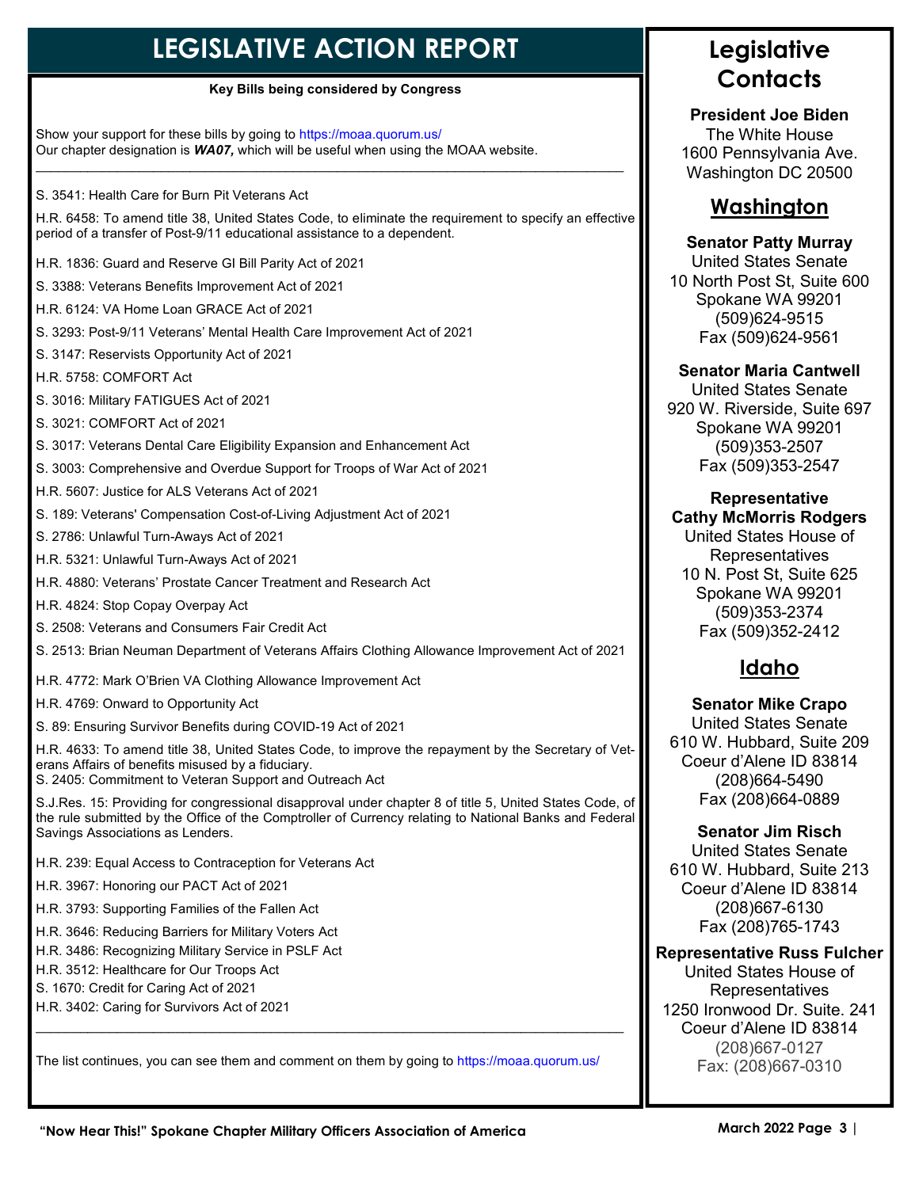# **LEGISLATIVE ACTION REPORT**

#### **Key Bills being considered by Congress**

Show your support for these bills by going to https://moaa.quorum.us/ Our chapter designation is *WA07,* which will be useful when using the MOAA website.  $\_$  , and the set of the set of the set of the set of the set of the set of the set of the set of the set of the set of the set of the set of the set of the set of the set of the set of the set of the set of the set of th

S. 3541: Health Care for Burn Pit Veterans Act

H.R. 6458: To amend title 38, United States Code, to eliminate the requirement to specify an effective period of a transfer of Post-9/11 educational assistance to a dependent.

H.R. 1836: Guard and Reserve GI Bill Parity Act of 2021

S. 3388: Veterans Benefits Improvement Act of 2021

H.R. 6124: VA Home Loan GRACE Act of 2021

S. 3293: Post-9/11 Veterans' Mental Health Care Improvement Act of 2021

S. 3147: Reservists Opportunity Act of 2021

H.R. 5758: COMFORT Act

S. 3016: Military FATIGUES Act of 2021

S. 3021: COMFORT Act of 2021

S. 3017: Veterans Dental Care Eligibility Expansion and Enhancement Act

S. 3003: Comprehensive and Overdue Support for Troops of War Act of 2021

H.R. 5607: Justice for ALS Veterans Act of 2021

S. 189: Veterans' Compensation Cost-of-Living Adjustment Act of 2021

S. 2786: Unlawful Turn-Aways Act of 2021

H.R. 5321: Unlawful Turn-Aways Act of 2021

H.R. 4880: Veterans' Prostate Cancer Treatment and Research Act

H.R. 4824: Stop Copay Overpay Act

S. 2508: Veterans and Consumers Fair Credit Act

S. 2513: Brian Neuman Department of Veterans Affairs Clothing Allowance Improvement Act of 2021

H.R. 4772: Mark O'Brien VA Clothing Allowance Improvement Act

H.R. 4769: Onward to Opportunity Act

S. 89: Ensuring Survivor Benefits during COVID-19 Act of 2021

H.R. 4633: To amend title 38, United States Code, to improve the repayment by the Secretary of Veterans Affairs of benefits misused by a fiduciary.

S. 2405: Commitment to Veteran Support and Outreach Act

S.J.Res. 15: Providing for congressional disapproval under chapter 8 of title 5, United States Code, of the rule submitted by the Office of the Comptroller of Currency relating to National Banks and Federal Savings Associations as Lenders.

H.R. 239: Equal Access to Contraception for Veterans Act

H.R. 3967: Honoring our PACT Act of 2021

H.R. 3793: Supporting Families of the Fallen Act

H.R. 3646: Reducing Barriers for Military Voters Act

H.R. 3486: Recognizing Military Service in PSLF Act

H.R. 3512: Healthcare for Our Troops Act

S. 1670: Credit for Caring Act of 2021

H.R. 3402: Caring for Survivors Act of 2021

The list continues, you can see them and comment on them by going to https://moaa.quorum.us/

 $\_$  , and the set of the set of the set of the set of the set of the set of the set of the set of the set of the set of the set of the set of the set of the set of the set of the set of the set of the set of the set of th

## **Legislative Contacts**

**President Joe Biden**  The White House 1600 Pennsylvania Ave. Washington DC 20500

#### **Washington**

#### **Senator Patty Murray**

United States Senate 10 North Post St, Suite 600 Spokane WA 99201 (509)624-9515 Fax (509)624-9561

#### **Senator Maria Cantwell**

United States Senate 920 W. Riverside, Suite 697 Spokane WA 99201 (509)353-2507 Fax (509)353-2547

#### **Representative Cathy McMorris Rodgers**

United States House of Representatives 10 N. Post St, Suite 625 Spokane WA 99201 (509)353-2374 Fax (509)352-2412

#### **Idaho**

**Senator Mike Crapo** United States Senate 610 W. Hubbard, Suite 209 Coeur d'Alene ID 83814 (208)664-5490 Fax (208)664-0889

**Senator Jim Risch** 

United States Senate 610 W. Hubbard, Suite 213 Coeur d'Alene ID 83814 (208)667-6130 Fax (208)765-1743

#### **Representative Russ Fulcher**

United States House of Representatives 1250 Ironwood Dr. Suite. 241 Coeur d'Alene ID 83814 (208)667-0127 Fax: (208)667-0310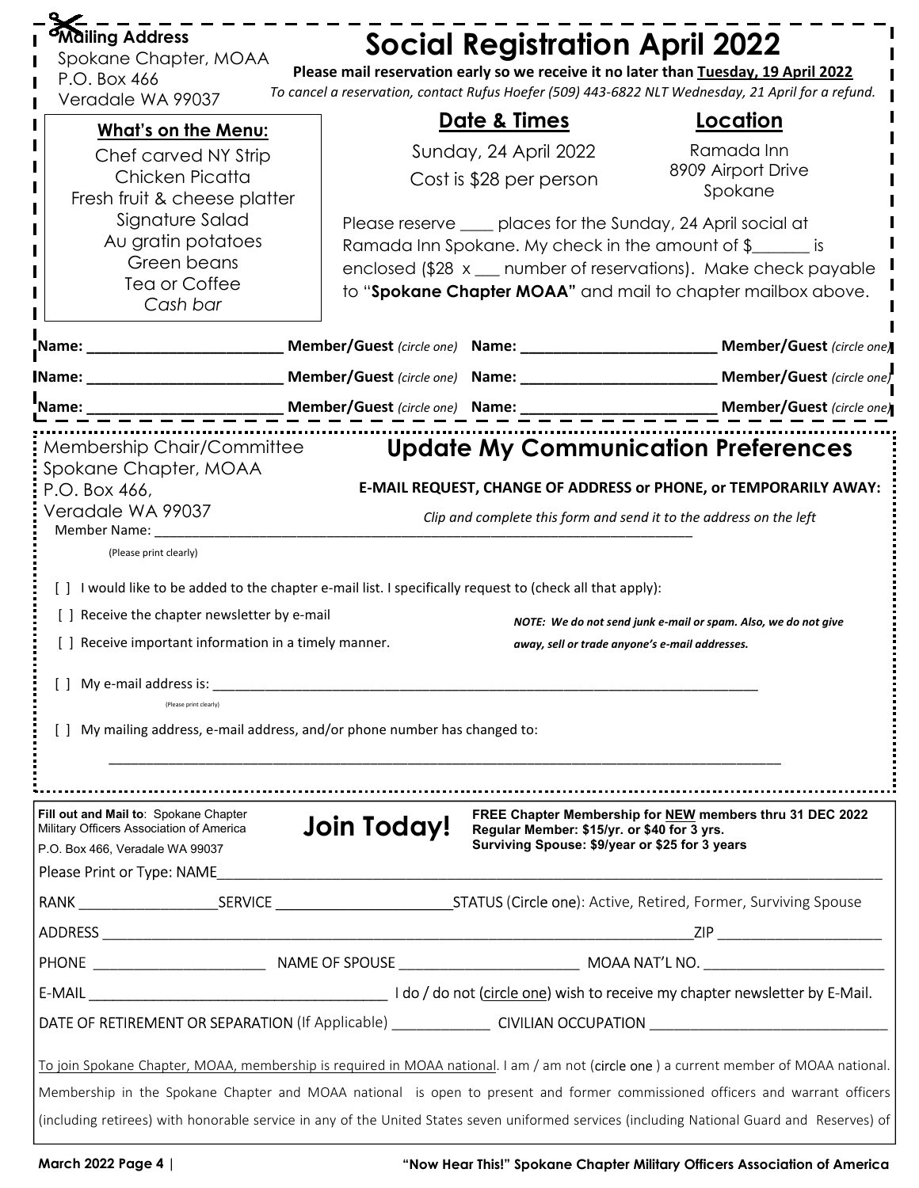| <b>Mailing Address</b><br>Spokane Chapter, MOAA<br>P.O. Box 466<br>Veradale WA 99037                                                                                                                                                                                                                                                                                                                                                                               |             | <b>Social Registration April 2022</b>                                                         | Please mail reservation early so we receive it no later than Tuesday, 19 April 2022<br>To cancel a reservation, contact Rufus Hoefer (509) 443-6822 NLT Wednesday, 21 April for a refund.                                                                  |  |
|--------------------------------------------------------------------------------------------------------------------------------------------------------------------------------------------------------------------------------------------------------------------------------------------------------------------------------------------------------------------------------------------------------------------------------------------------------------------|-------------|-----------------------------------------------------------------------------------------------|------------------------------------------------------------------------------------------------------------------------------------------------------------------------------------------------------------------------------------------------------------|--|
| <b>What's on the Menu:</b>                                                                                                                                                                                                                                                                                                                                                                                                                                         |             | <u>Date &amp; Times</u>                                                                       | <u>Location</u>                                                                                                                                                                                                                                            |  |
| Chef carved NY Strip<br>Chicken Picatta<br>Fresh fruit & cheese platter                                                                                                                                                                                                                                                                                                                                                                                            |             | Sunday, 24 April 2022<br>Cost is \$28 per person                                              | Ramada Inn<br>8909 Airport Drive<br>Spokane                                                                                                                                                                                                                |  |
| Signature Salad<br>Au gratin potatoes<br>Green beans<br>Tea or Coffee<br>Cash bar                                                                                                                                                                                                                                                                                                                                                                                  |             |                                                                                               | Please reserve ____ places for the Sunday, 24 April social at<br>Ramada Inn Spokane. My check in the amount of \$<br>enclosed (\$28 x __ number of reservations). Make check payable<br>to "Spokane Chapter MOAA" and mail to chapter mailbox above.       |  |
| _Name: ______________________                                                                                                                                                                                                                                                                                                                                                                                                                                      |             |                                                                                               | Member/Guest (circle one)                                                                                                                                                                                                                                  |  |
| Mame: Name and Alberta Manual Andrews Manual Andrews Manual Andrews Manual Andrews Manual Andrews Manual Andrews Manual Andrews Manual Andrews Manual Andrews Manual Andrews Manual Andrews Manual Andrews Manual Andrews Manu                                                                                                                                                                                                                                     |             | Member/Guest (circle one) Name:                                                               | Member/Guest (circle one)                                                                                                                                                                                                                                  |  |
| 'Name:                                                                                                                                                                                                                                                                                                                                                                                                                                                             |             |                                                                                               |                                                                                                                                                                                                                                                            |  |
| Spokane Chapter, MOAA<br>P.O. Box 466,<br>Veradale WA 99037<br>Member Name: ______<br>(Please print clearly)<br>[ ] I would like to be added to the chapter e-mail list. I specifically request to (check all that apply):<br>[] Receive the chapter newsletter by e-mail<br>[ ] Receive important information in a timely manner.<br>] My e-mail address is:<br>(Please print clearly)<br>My mailing address, e-mail address, and/or phone number has changed to: |             |                                                                                               | E-MAIL REQUEST, CHANGE OF ADDRESS or PHONE, or TEMPORARILY AWAY:<br>Clip and complete this form and send it to the address on the left<br>NOTE: We do not send junk e-mail or spam. Also, we do not give<br>away, sell or trade anyone's e-mail addresses. |  |
| Fill out and Mail to: Spokane Chapter<br>Military Officers Association of America<br>P.O. Box 466, Veradale WA 99037<br>Please Print or Type: NAME                                                                                                                                                                                                                                                                                                                 | Join Today! | Regular Member: \$15/yr. or \$40 for 3 yrs.<br>Surviving Spouse: \$9/year or \$25 for 3 years | FREE Chapter Membership for NEW members thru 31 DEC 2022                                                                                                                                                                                                   |  |
|                                                                                                                                                                                                                                                                                                                                                                                                                                                                    |             |                                                                                               |                                                                                                                                                                                                                                                            |  |
|                                                                                                                                                                                                                                                                                                                                                                                                                                                                    |             |                                                                                               |                                                                                                                                                                                                                                                            |  |
|                                                                                                                                                                                                                                                                                                                                                                                                                                                                    |             |                                                                                               |                                                                                                                                                                                                                                                            |  |
|                                                                                                                                                                                                                                                                                                                                                                                                                                                                    |             |                                                                                               |                                                                                                                                                                                                                                                            |  |
|                                                                                                                                                                                                                                                                                                                                                                                                                                                                    |             |                                                                                               |                                                                                                                                                                                                                                                            |  |
| To join Spokane Chapter, MOAA, membership is required in MOAA national. I am / am not (circle one) a current member of MOAA national.                                                                                                                                                                                                                                                                                                                              |             |                                                                                               |                                                                                                                                                                                                                                                            |  |
| Membership in the Spokane Chapter and MOAA national is open to present and former commissioned officers and warrant officers                                                                                                                                                                                                                                                                                                                                       |             |                                                                                               |                                                                                                                                                                                                                                                            |  |
| (including retirees) with honorable service in any of the United States seven uniformed services (including National Guard and Reserves) of                                                                                                                                                                                                                                                                                                                        |             |                                                                                               |                                                                                                                                                                                                                                                            |  |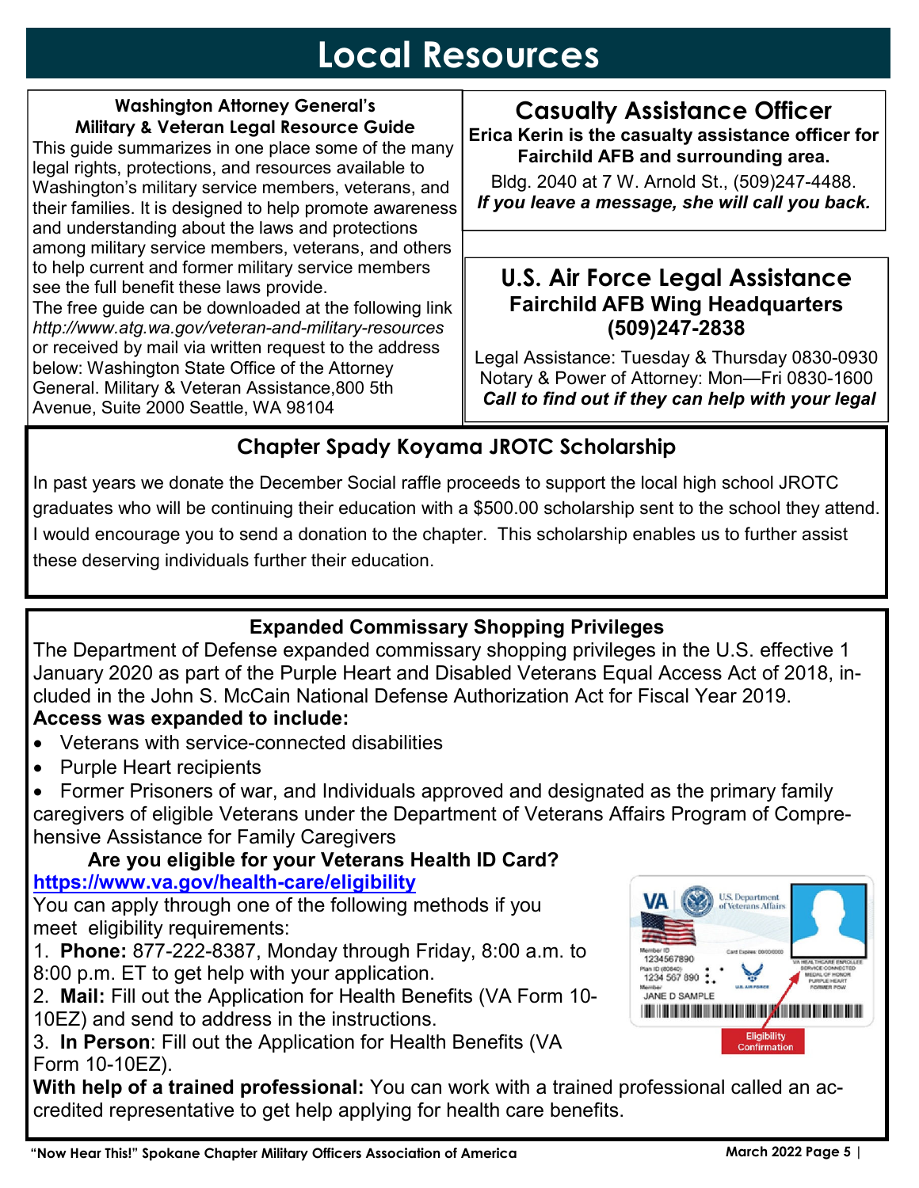# **Local Resources**

#### **Washington Attorney General's Military & Veteran Legal Resource Guide**  This guide summarizes in one place some of the many

legal rights, protections, and resources available to Washington's military service members, veterans, and their families. It is designed to help promote awareness and understanding about the laws and protections among military service members, veterans, and others to help current and former military service members see the full benefit these laws provide.

The free guide can be downloaded at the following link *http://www.atg.wa.gov/veteran-and-military-resources*  or received by mail via written request to the address below: Washington State Office of the Attorney General. Military & Veteran Assistance,800 5th Avenue, Suite 2000 Seattle, WA 98104

#### **Casualty Assistance Officer Erica Kerin is the casualty assistance officer for Fairchild AFB and surrounding area.**

Bldg. 2040 at 7 W. Arnold St., (509)247-4488. *If you leave a message, she will call you back.* 

### **U.S. Air Force Legal Assistance Fairchild AFB Wing Headquarters (509)247-2838**

Legal Assistance: Tuesday & Thursday 0830-0930 Notary & Power of Attorney: Mon—Fri 0830-1600  *Call to find out if they can help with your legal* 

# **Chapter Spady Koyama JROTC Scholarship**

In past years we donate the December Social raffle proceeds to support the local high school JROTC graduates who will be continuing their education with a \$500.00 scholarship sent to the school they attend. I would encourage you to send a donation to the chapter. This scholarship enables us to further assist these deserving individuals further their education.

## **Expanded Commissary Shopping Privileges**

The Department of Defense expanded commissary shopping privileges in the U.S. effective 1 January 2020 as part of the Purple Heart and Disabled Veterans Equal Access Act of 2018, included in the John S. McCain National Defense Authorization Act for Fiscal Year 2019. **Access was expanded to include:**

- Veterans with service-connected disabilities
- Purple Heart recipients

• Former Prisoners of war, and Individuals approved and designated as the primary family caregivers of eligible Veterans under the Department of Veterans Affairs Program of Comprehensive Assistance for Family Caregivers

### **Are you eligible for your Veterans Health ID Card? https://www.va.gov/health-care/eligibility**

You can apply through one of the following methods if you meet eligibility requirements:

1. **Phone:** 877-222-8387, Monday through Friday, 8:00 a.m. to 8:00 p.m. ET to get help with your application.

2. **Mail:** Fill out the Application for Health Benefits (VA Form 10- 10EZ) and send to address in the instructions.

3. **In Person**: Fill out the Application for Health Benefits (VA Form 10-10EZ).

**With help of a trained professional:** You can work with a trained professional called an accredited representative to get help applying for health care benefits.